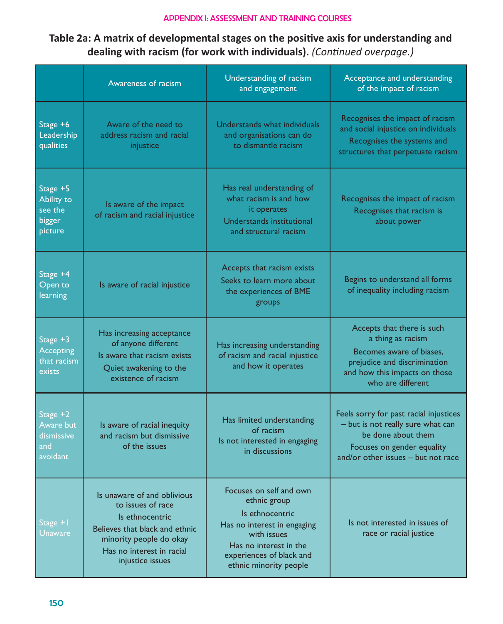## APPENDIX I: ASSESSMENT AND TRAINING COURSES

## **Table 2a: A matrix of developmental stages on the positive axis for understanding and dealing with racism (for work with individuals).** *(Continued overpage.)*

|                                                        | Awareness of racism                                                                                                                                                               | Understanding of racism<br>and engagement                                                                                                                                                | Acceptance and understanding<br>of the impact of racism                                                                                                               |
|--------------------------------------------------------|-----------------------------------------------------------------------------------------------------------------------------------------------------------------------------------|------------------------------------------------------------------------------------------------------------------------------------------------------------------------------------------|-----------------------------------------------------------------------------------------------------------------------------------------------------------------------|
| Stage +6<br>Leadership<br>qualities                    | Aware of the need to<br>address racism and racial<br>injustice                                                                                                                    | Understands what individuals<br>and organisations can do<br>to dismantle racism                                                                                                          | Recognises the impact of racism<br>and social injustice on individuals<br>Recognises the systems and<br>structures that perpetuate racism                             |
| Stage +5<br>Ability to<br>see the<br>bigger<br>picture | Is aware of the impact<br>of racism and racial injustice                                                                                                                          | Has real understanding of<br>what racism is and how<br>it operates<br>Understands institutional<br>and structural racism                                                                 | Recognises the impact of racism<br>Recognises that racism is<br>about power                                                                                           |
| Stage +4<br>Open to<br>learning                        | Is aware of racial injustice                                                                                                                                                      | Accepts that racism exists<br>Seeks to learn more about<br>the experiences of BME<br>groups                                                                                              | Begins to understand all forms<br>of inequality including racism                                                                                                      |
| Stage +3<br><b>Accepting</b><br>that racism<br>exists  | Has increasing acceptance<br>of anyone different<br>Is aware that racism exists<br>Quiet awakening to the<br>existence of racism                                                  | Has increasing understanding<br>of racism and racial injustice<br>and how it operates                                                                                                    | Accepts that there is such<br>a thing as racism<br>Becomes aware of biases,<br>prejudice and discrimination<br>and how this impacts on those<br>who are different     |
| Stage +2<br>Aware but<br>dismissive<br>and<br>avoidant | Is aware of racial inequity<br>and racism but dismissive<br>of the issues                                                                                                         | Has limited understanding<br>of racism<br>Is not interested in engaging<br>in discussions                                                                                                | Feels sorry for past racial injustices<br>- but is not really sure what can<br>be done about them<br>Focuses on gender equality<br>and/or other issues - but not race |
| Stage +1<br><b>Unaware</b>                             | Is unaware of and oblivious<br>to issues of race<br>Is ethnocentric<br>Believes that black and ethnic<br>minority people do okay<br>Has no interest in racial<br>injustice issues | Focuses on self and own<br>ethnic group<br>Is ethnocentric<br>Has no interest in engaging<br>with issues<br>Has no interest in the<br>experiences of black and<br>ethnic minority people | Is not interested in issues of<br>race or racial justice                                                                                                              |